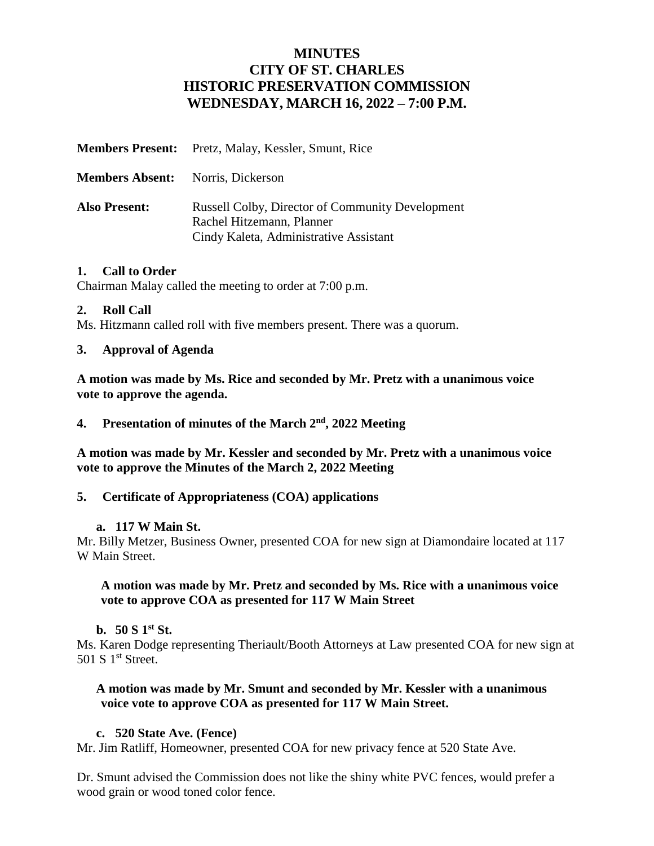# **MINUTES CITY OF ST. CHARLES HISTORIC PRESERVATION COMMISSION WEDNESDAY, MARCH 16, 2022 – 7:00 P.M.**

|                                          | <b>Members Present:</b> Pretz, Malay, Kessler, Smunt, Rice                                                                     |
|------------------------------------------|--------------------------------------------------------------------------------------------------------------------------------|
| <b>Members Absent:</b> Norris, Dickerson |                                                                                                                                |
| <b>Also Present:</b>                     | <b>Russell Colby, Director of Community Development</b><br>Rachel Hitzemann, Planner<br>Cindy Kaleta, Administrative Assistant |

#### **1. Call to Order**

Chairman Malay called the meeting to order at 7:00 p.m.

### **2. Roll Call**

Ms. Hitzmann called roll with five members present. There was a quorum.

### **3. Approval of Agenda**

**A motion was made by Ms. Rice and seconded by Mr. Pretz with a unanimous voice vote to approve the agenda.**

#### 4. Presentation of minutes of the March  $2<sup>nd</sup>$ , 2022 Meeting

**A motion was made by Mr. Kessler and seconded by Mr. Pretz with a unanimous voice vote to approve the Minutes of the March 2, 2022 Meeting**

#### **5. Certificate of Appropriateness (COA) applications**

#### **a. 117 W Main St.**

Mr. Billy Metzer, Business Owner, presented COA for new sign at Diamondaire located at 117 W Main Street.

### **A motion was made by Mr. Pretz and seconded by Ms. Rice with a unanimous voice vote to approve COA as presented for 117 W Main Street**

#### **b. 50 S 1st St.**

Ms. Karen Dodge representing Theriault/Booth Attorneys at Law presented COA for new sign at 501 S 1<sup>st</sup> Street.

#### **A motion was made by Mr. Smunt and seconded by Mr. Kessler with a unanimous voice vote to approve COA as presented for 117 W Main Street.**

### **c. 520 State Ave. (Fence)**

Mr. Jim Ratliff, Homeowner, presented COA for new privacy fence at 520 State Ave.

Dr. Smunt advised the Commission does not like the shiny white PVC fences, would prefer a wood grain or wood toned color fence.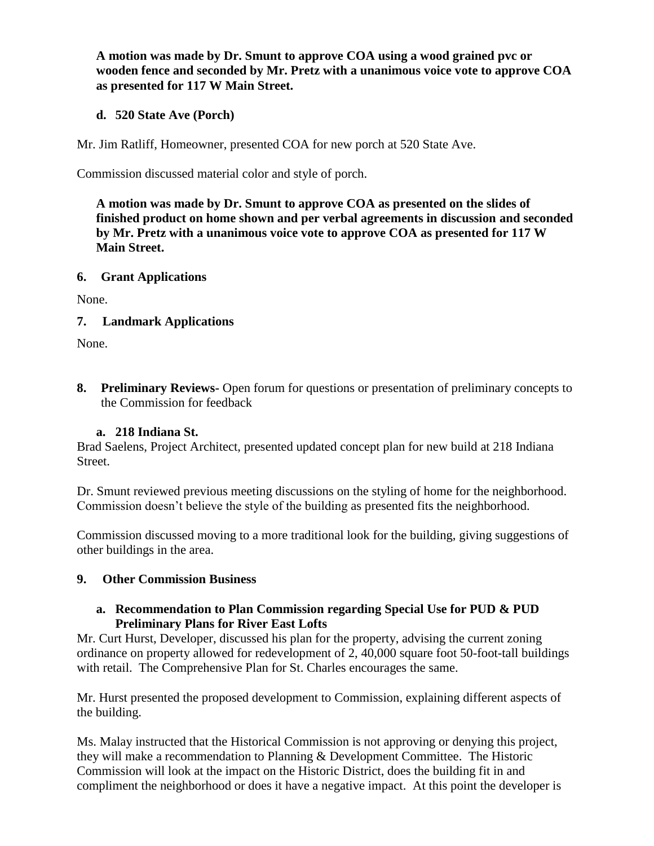**A motion was made by Dr. Smunt to approve COA using a wood grained pvc or wooden fence and seconded by Mr. Pretz with a unanimous voice vote to approve COA as presented for 117 W Main Street.**

### **d. 520 State Ave (Porch)**

Mr. Jim Ratliff, Homeowner, presented COA for new porch at 520 State Ave.

Commission discussed material color and style of porch.

**A motion was made by Dr. Smunt to approve COA as presented on the slides of finished product on home shown and per verbal agreements in discussion and seconded by Mr. Pretz with a unanimous voice vote to approve COA as presented for 117 W Main Street.**

### **6. Grant Applications**

None.

**7. Landmark Applications** 

None.

**8. Preliminary Reviews-** Open forum for questions or presentation of preliminary concepts to the Commission for feedback

# **a. 218 Indiana St.**

Brad Saelens, Project Architect, presented updated concept plan for new build at 218 Indiana Street.

Dr. Smunt reviewed previous meeting discussions on the styling of home for the neighborhood. Commission doesn't believe the style of the building as presented fits the neighborhood.

Commission discussed moving to a more traditional look for the building, giving suggestions of other buildings in the area.

### **9. Other Commission Business**

## **a. Recommendation to Plan Commission regarding Special Use for PUD & PUD Preliminary Plans for River East Lofts**

Mr. Curt Hurst, Developer, discussed his plan for the property, advising the current zoning ordinance on property allowed for redevelopment of 2, 40,000 square foot 50-foot-tall buildings with retail. The Comprehensive Plan for St. Charles encourages the same.

Mr. Hurst presented the proposed development to Commission, explaining different aspects of the building.

Ms. Malay instructed that the Historical Commission is not approving or denying this project, they will make a recommendation to Planning & Development Committee. The Historic Commission will look at the impact on the Historic District, does the building fit in and compliment the neighborhood or does it have a negative impact. At this point the developer is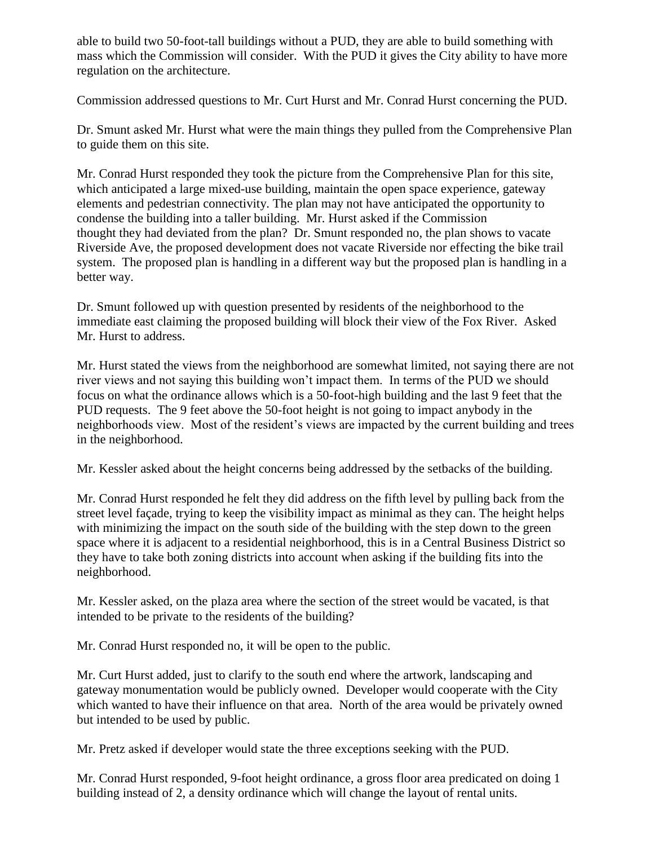able to build two 50-foot-tall buildings without a PUD, they are able to build something with mass which the Commission will consider. With the PUD it gives the City ability to have more regulation on the architecture.

Commission addressed questions to Mr. Curt Hurst and Mr. Conrad Hurst concerning the PUD.

Dr. Smunt asked Mr. Hurst what were the main things they pulled from the Comprehensive Plan to guide them on this site.

Mr. Conrad Hurst responded they took the picture from the Comprehensive Plan for this site, which anticipated a large mixed-use building, maintain the open space experience, gateway elements and pedestrian connectivity. The plan may not have anticipated the opportunity to condense the building into a taller building. Mr. Hurst asked if the Commission thought they had deviated from the plan? Dr. Smunt responded no, the plan shows to vacate Riverside Ave, the proposed development does not vacate Riverside nor effecting the bike trail system. The proposed plan is handling in a different way but the proposed plan is handling in a better way.

Dr. Smunt followed up with question presented by residents of the neighborhood to the immediate east claiming the proposed building will block their view of the Fox River. Asked Mr. Hurst to address.

Mr. Hurst stated the views from the neighborhood are somewhat limited, not saying there are not river views and not saying this building won't impact them. In terms of the PUD we should focus on what the ordinance allows which is a 50-foot-high building and the last 9 feet that the PUD requests. The 9 feet above the 50-foot height is not going to impact anybody in the neighborhoods view. Most of the resident's views are impacted by the current building and trees in the neighborhood.

Mr. Kessler asked about the height concerns being addressed by the setbacks of the building.

Mr. Conrad Hurst responded he felt they did address on the fifth level by pulling back from the street level façade, trying to keep the visibility impact as minimal as they can. The height helps with minimizing the impact on the south side of the building with the step down to the green space where it is adjacent to a residential neighborhood, this is in a Central Business District so they have to take both zoning districts into account when asking if the building fits into the neighborhood.

Mr. Kessler asked, on the plaza area where the section of the street would be vacated, is that intended to be private to the residents of the building?

Mr. Conrad Hurst responded no, it will be open to the public.

Mr. Curt Hurst added, just to clarify to the south end where the artwork, landscaping and gateway monumentation would be publicly owned. Developer would cooperate with the City which wanted to have their influence on that area. North of the area would be privately owned but intended to be used by public.

Mr. Pretz asked if developer would state the three exceptions seeking with the PUD.

Mr. Conrad Hurst responded, 9-foot height ordinance, a gross floor area predicated on doing 1 building instead of 2, a density ordinance which will change the layout of rental units.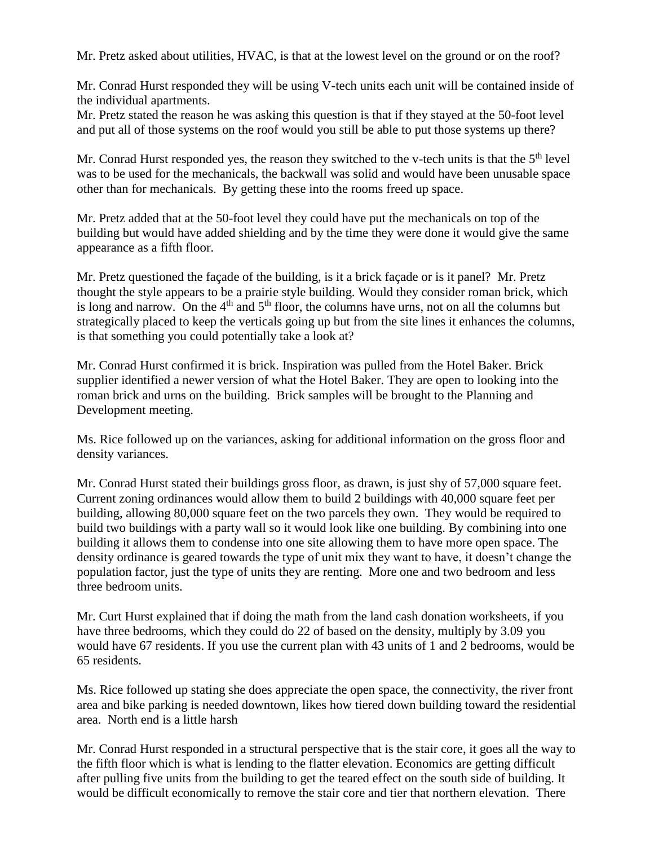Mr. Pretz asked about utilities, HVAC, is that at the lowest level on the ground or on the roof?

Mr. Conrad Hurst responded they will be using V-tech units each unit will be contained inside of the individual apartments.

Mr. Pretz stated the reason he was asking this question is that if they stayed at the 50-foot level and put all of those systems on the roof would you still be able to put those systems up there?

Mr. Conrad Hurst responded yes, the reason they switched to the v-tech units is that the 5<sup>th</sup> level was to be used for the mechanicals, the backwall was solid and would have been unusable space other than for mechanicals. By getting these into the rooms freed up space.

Mr. Pretz added that at the 50-foot level they could have put the mechanicals on top of the building but would have added shielding and by the time they were done it would give the same appearance as a fifth floor.

Mr. Pretz questioned the façade of the building, is it a brick façade or is it panel? Mr. Pretz thought the style appears to be a prairie style building. Would they consider roman brick, which is long and narrow. On the  $4<sup>th</sup>$  and  $5<sup>th</sup>$  floor, the columns have urns, not on all the columns but strategically placed to keep the verticals going up but from the site lines it enhances the columns, is that something you could potentially take a look at?

Mr. Conrad Hurst confirmed it is brick. Inspiration was pulled from the Hotel Baker. Brick supplier identified a newer version of what the Hotel Baker. They are open to looking into the roman brick and urns on the building. Brick samples will be brought to the Planning and Development meeting.

Ms. Rice followed up on the variances, asking for additional information on the gross floor and density variances.

Mr. Conrad Hurst stated their buildings gross floor, as drawn, is just shy of 57,000 square feet. Current zoning ordinances would allow them to build 2 buildings with 40,000 square feet per building, allowing 80,000 square feet on the two parcels they own. They would be required to build two buildings with a party wall so it would look like one building. By combining into one building it allows them to condense into one site allowing them to have more open space. The density ordinance is geared towards the type of unit mix they want to have, it doesn't change the population factor, just the type of units they are renting. More one and two bedroom and less three bedroom units.

Mr. Curt Hurst explained that if doing the math from the land cash donation worksheets, if you have three bedrooms, which they could do 22 of based on the density, multiply by 3.09 you would have 67 residents. If you use the current plan with 43 units of 1 and 2 bedrooms, would be 65 residents.

Ms. Rice followed up stating she does appreciate the open space, the connectivity, the river front area and bike parking is needed downtown, likes how tiered down building toward the residential area. North end is a little harsh

Mr. Conrad Hurst responded in a structural perspective that is the stair core, it goes all the way to the fifth floor which is what is lending to the flatter elevation. Economics are getting difficult after pulling five units from the building to get the teared effect on the south side of building. It would be difficult economically to remove the stair core and tier that northern elevation. There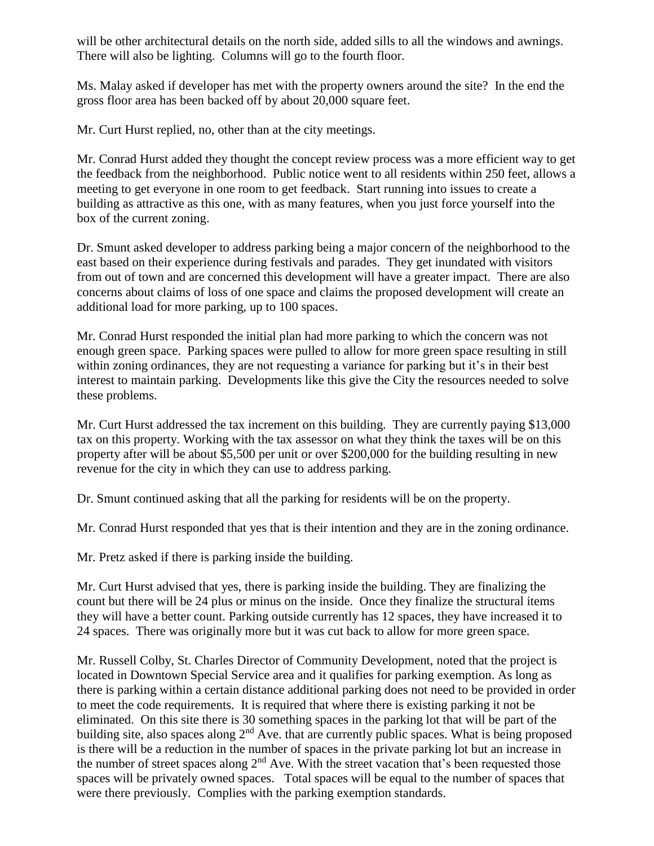will be other architectural details on the north side, added sills to all the windows and awnings. There will also be lighting. Columns will go to the fourth floor.

Ms. Malay asked if developer has met with the property owners around the site? In the end the gross floor area has been backed off by about 20,000 square feet.

Mr. Curt Hurst replied, no, other than at the city meetings.

Mr. Conrad Hurst added they thought the concept review process was a more efficient way to get the feedback from the neighborhood. Public notice went to all residents within 250 feet, allows a meeting to get everyone in one room to get feedback. Start running into issues to create a building as attractive as this one, with as many features, when you just force yourself into the box of the current zoning.

Dr. Smunt asked developer to address parking being a major concern of the neighborhood to the east based on their experience during festivals and parades. They get inundated with visitors from out of town and are concerned this development will have a greater impact. There are also concerns about claims of loss of one space and claims the proposed development will create an additional load for more parking, up to 100 spaces.

Mr. Conrad Hurst responded the initial plan had more parking to which the concern was not enough green space. Parking spaces were pulled to allow for more green space resulting in still within zoning ordinances, they are not requesting a variance for parking but it's in their best interest to maintain parking. Developments like this give the City the resources needed to solve these problems.

Mr. Curt Hurst addressed the tax increment on this building. They are currently paying \$13,000 tax on this property. Working with the tax assessor on what they think the taxes will be on this property after will be about \$5,500 per unit or over \$200,000 for the building resulting in new revenue for the city in which they can use to address parking.

Dr. Smunt continued asking that all the parking for residents will be on the property.

Mr. Conrad Hurst responded that yes that is their intention and they are in the zoning ordinance.

Mr. Pretz asked if there is parking inside the building.

Mr. Curt Hurst advised that yes, there is parking inside the building. They are finalizing the count but there will be 24 plus or minus on the inside. Once they finalize the structural items they will have a better count. Parking outside currently has 12 spaces, they have increased it to 24 spaces. There was originally more but it was cut back to allow for more green space.

Mr. Russell Colby, St. Charles Director of Community Development, noted that the project is located in Downtown Special Service area and it qualifies for parking exemption. As long as there is parking within a certain distance additional parking does not need to be provided in order to meet the code requirements. It is required that where there is existing parking it not be eliminated. On this site there is 30 something spaces in the parking lot that will be part of the building site, also spaces along 2<sup>nd</sup> Ave. that are currently public spaces. What is being proposed is there will be a reduction in the number of spaces in the private parking lot but an increase in the number of street spaces along  $2<sup>nd</sup>$  Ave. With the street vacation that's been requested those spaces will be privately owned spaces. Total spaces will be equal to the number of spaces that were there previously. Complies with the parking exemption standards.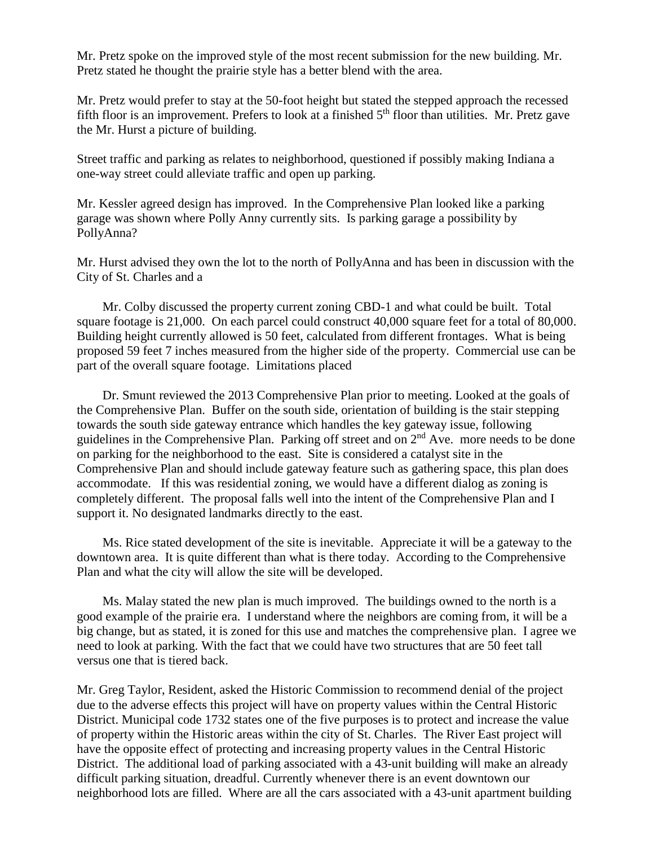Mr. Pretz spoke on the improved style of the most recent submission for the new building. Mr. Pretz stated he thought the prairie style has a better blend with the area.

Mr. Pretz would prefer to stay at the 50-foot height but stated the stepped approach the recessed fifth floor is an improvement. Prefers to look at a finished  $5<sup>th</sup>$  floor than utilities. Mr. Pretz gave the Mr. Hurst a picture of building.

Street traffic and parking as relates to neighborhood, questioned if possibly making Indiana a one-way street could alleviate traffic and open up parking.

Mr. Kessler agreed design has improved. In the Comprehensive Plan looked like a parking garage was shown where Polly Anny currently sits. Is parking garage a possibility by PollyAnna?

Mr. Hurst advised they own the lot to the north of PollyAnna and has been in discussion with the City of St. Charles and a

Mr. Colby discussed the property current zoning CBD-1 and what could be built. Total square footage is 21,000. On each parcel could construct 40,000 square feet for a total of 80,000. Building height currently allowed is 50 feet, calculated from different frontages. What is being proposed 59 feet 7 inches measured from the higher side of the property. Commercial use can be part of the overall square footage. Limitations placed

Dr. Smunt reviewed the 2013 Comprehensive Plan prior to meeting. Looked at the goals of the Comprehensive Plan. Buffer on the south side, orientation of building is the stair stepping towards the south side gateway entrance which handles the key gateway issue, following guidelines in the Comprehensive Plan. Parking off street and on 2nd Ave. more needs to be done on parking for the neighborhood to the east. Site is considered a catalyst site in the Comprehensive Plan and should include gateway feature such as gathering space, this plan does accommodate. If this was residential zoning, we would have a different dialog as zoning is completely different. The proposal falls well into the intent of the Comprehensive Plan and I support it. No designated landmarks directly to the east.

Ms. Rice stated development of the site is inevitable. Appreciate it will be a gateway to the downtown area. It is quite different than what is there today. According to the Comprehensive Plan and what the city will allow the site will be developed.

Ms. Malay stated the new plan is much improved. The buildings owned to the north is a good example of the prairie era. I understand where the neighbors are coming from, it will be a big change, but as stated, it is zoned for this use and matches the comprehensive plan. I agree we need to look at parking. With the fact that we could have two structures that are 50 feet tall versus one that is tiered back.

Mr. Greg Taylor, Resident, asked the Historic Commission to recommend denial of the project due to the adverse effects this project will have on property values within the Central Historic District. Municipal code 1732 states one of the five purposes is to protect and increase the value of property within the Historic areas within the city of St. Charles. The River East project will have the opposite effect of protecting and increasing property values in the Central Historic District. The additional load of parking associated with a 43-unit building will make an already difficult parking situation, dreadful. Currently whenever there is an event downtown our neighborhood lots are filled. Where are all the cars associated with a 43-unit apartment building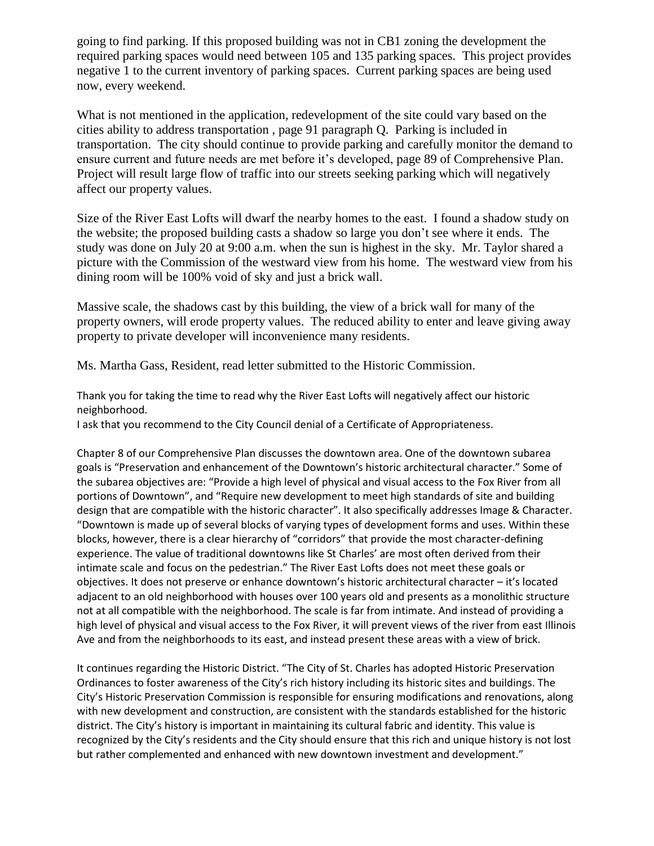going to find parking. If this proposed building was not in CB1 zoning the development the required parking spaces would need between 105 and 135 parking spaces. This project provides negative 1 to the current inventory of parking spaces. Current parking spaces are being used now, every weekend.

What is not mentioned in the application, redevelopment of the site could vary based on the cities ability to address transportation , page 91 paragraph Q. Parking is included in transportation. The city should continue to provide parking and carefully monitor the demand to ensure current and future needs are met before it's developed, page 89 of Comprehensive Plan. Project will result large flow of traffic into our streets seeking parking which will negatively affect our property values.

Size of the River East Lofts will dwarf the nearby homes to the east. I found a shadow study on the website; the proposed building casts a shadow so large you don't see where it ends. The study was done on July 20 at 9:00 a.m. when the sun is highest in the sky. Mr. Taylor shared a picture with the Commission of the westward view from his home. The westward view from his dining room will be 100% void of sky and just a brick wall.

Massive scale, the shadows cast by this building, the view of a brick wall for many of the property owners, will erode property values. The reduced ability to enter and leave giving away property to private developer will inconvenience many residents.

Ms. Martha Gass, Resident, read letter submitted to the Historic Commission.

Thank you for taking the time to read why the River East Lofts will negatively affect our historic neighborhood.

I ask that you recommend to the City Council denial of a Certificate of Appropriateness.

Chapter 8 of our Comprehensive Plan discusses the downtown area. One of the downtown subarea goals is "Preservation and enhancement of the Downtown's historic architectural character." Some of the subarea objectives are: "Provide a high level of physical and visual access to the Fox River from all portions of Downtown", and "Require new development to meet high standards of site and building design that are compatible with the historic character". It also specifically addresses Image & Character. "Downtown is made up of several blocks of varying types of development forms and uses. Within these blocks, however, there is a clear hierarchy of "corridors" that provide the most character-defining experience. The value of traditional downtowns like St Charles' are most often derived from their intimate scale and focus on the pedestrian." The River East Lofts does not meet these goals or objectives. It does not preserve or enhance downtown's historic architectural character – it's located adjacent to an old neighborhood with houses over 100 years old and presents as a monolithic structure not at all compatible with the neighborhood. The scale is far from intimate. And instead of providing a high level of physical and visual access to the Fox River, it will prevent views of the river from east Illinois Ave and from the neighborhoods to its east, and instead present these areas with a view of brick.

It continues regarding the Historic District. "The City of St. Charles has adopted Historic Preservation Ordinances to foster awareness of the City's rich history including its historic sites and buildings. The City's Historic Preservation Commission is responsible for ensuring modifications and renovations, along with new development and construction, are consistent with the standards established for the historic district. The City's history is important in maintaining its cultural fabric and identity. This value is recognized by the City's residents and the City should ensure that this rich and unique history is not lost but rather complemented and enhanced with new downtown investment and development."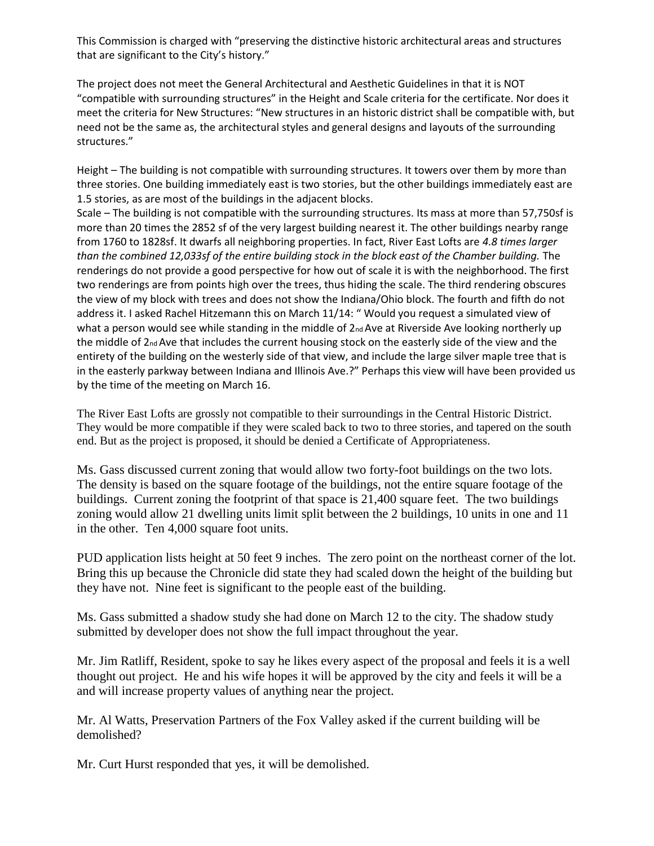This Commission is charged with "preserving the distinctive historic architectural areas and structures that are significant to the City's history."

The project does not meet the General Architectural and Aesthetic Guidelines in that it is NOT "compatible with surrounding structures" in the Height and Scale criteria for the certificate. Nor does it meet the criteria for New Structures: "New structures in an historic district shall be compatible with, but need not be the same as, the architectural styles and general designs and layouts of the surrounding structures."

Height – The building is not compatible with surrounding structures. It towers over them by more than three stories. One building immediately east is two stories, but the other buildings immediately east are 1.5 stories, as are most of the buildings in the adjacent blocks.

Scale – The building is not compatible with the surrounding structures. Its mass at more than 57,750sf is more than 20 times the 2852 sf of the very largest building nearest it. The other buildings nearby range from 1760 to 1828sf. It dwarfs all neighboring properties. In fact, River East Lofts are *4.8 times larger than the combined 12,033sf of the entire building stock in the block east of the Chamber building.* The renderings do not provide a good perspective for how out of scale it is with the neighborhood. The first two renderings are from points high over the trees, thus hiding the scale. The third rendering obscures the view of my block with trees and does not show the Indiana/Ohio block. The fourth and fifth do not address it. I asked Rachel Hitzemann this on March 11/14: " Would you request a simulated view of what a person would see while standing in the middle of 2nd Ave at Riverside Ave looking northerly up the middle of 2nd Ave that includes the current housing stock on the easterly side of the view and the entirety of the building on the westerly side of that view, and include the large silver maple tree that is in the easterly parkway between Indiana and Illinois Ave.?" Perhaps this view will have been provided us by the time of the meeting on March 16.

The River East Lofts are grossly not compatible to their surroundings in the Central Historic District. They would be more compatible if they were scaled back to two to three stories, and tapered on the south end. But as the project is proposed, it should be denied a Certificate of Appropriateness.

Ms. Gass discussed current zoning that would allow two forty-foot buildings on the two lots. The density is based on the square footage of the buildings, not the entire square footage of the buildings. Current zoning the footprint of that space is 21,400 square feet. The two buildings zoning would allow 21 dwelling units limit split between the 2 buildings, 10 units in one and 11 in the other. Ten 4,000 square foot units.

PUD application lists height at 50 feet 9 inches. The zero point on the northeast corner of the lot. Bring this up because the Chronicle did state they had scaled down the height of the building but they have not. Nine feet is significant to the people east of the building.

Ms. Gass submitted a shadow study she had done on March 12 to the city. The shadow study submitted by developer does not show the full impact throughout the year.

Mr. Jim Ratliff, Resident, spoke to say he likes every aspect of the proposal and feels it is a well thought out project. He and his wife hopes it will be approved by the city and feels it will be a and will increase property values of anything near the project.

Mr. Al Watts, Preservation Partners of the Fox Valley asked if the current building will be demolished?

Mr. Curt Hurst responded that yes, it will be demolished.